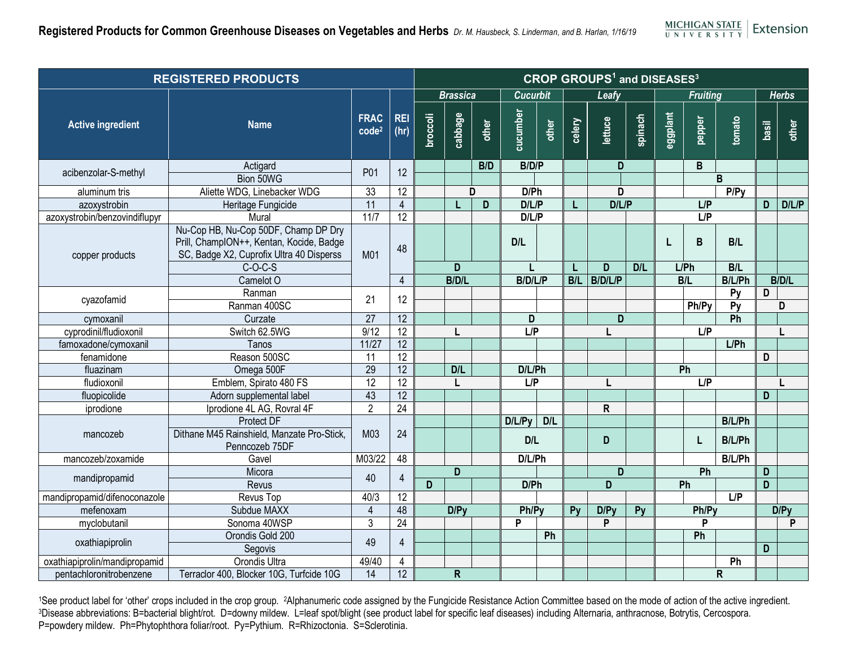| <b>REGISTERED PRODUCTS</b>    |                                                                                                                              | <b>CROP GROUPS<sup>1</sup> and DISEASES<sup>3</sup></b> |                    |                 |                         |       |                 |            |        |          |         |                 |        |                 |              |              |
|-------------------------------|------------------------------------------------------------------------------------------------------------------------------|---------------------------------------------------------|--------------------|-----------------|-------------------------|-------|-----------------|------------|--------|----------|---------|-----------------|--------|-----------------|--------------|--------------|
|                               |                                                                                                                              |                                                         |                    | <b>Brassica</b> |                         |       | <b>Cucurbit</b> |            | Leafy  |          |         | <b>Fruiting</b> |        |                 |              | <b>Herbs</b> |
| <b>Active ingredient</b>      | <b>Name</b>                                                                                                                  | <b>FRAC</b><br>code <sup>2</sup>                        | <b>REI</b><br>(hr) | <b>broccoli</b> | cabbage                 | other | cucumber        | other      | celery | lettuce  | spinach | eggplant        | pepper | tomato          | basil        | other        |
| acibenzolar-S-methyl          | Actigard                                                                                                                     | P01                                                     | 12                 |                 |                         | B/D   | B/D/P           |            |        | D        |         |                 | B      |                 |              |              |
|                               | Bion 50WG                                                                                                                    |                                                         |                    |                 |                         |       |                 |            |        |          |         |                 |        | B               |              |              |
| aluminum tris                 | Aliette WDG, Linebacker WDG                                                                                                  | 33                                                      | $\overline{12}$    | D               |                         |       | D/Ph            |            |        | D        |         |                 |        | P/Py            |              |              |
| azoxystrobin                  | Heritage Fungicide                                                                                                           | $\overline{11}$                                         | $\overline{4}$     |                 |                         | D     | D/L/P           |            | L      | D/L/P    |         | L/P             |        |                 | D            | D/L/P        |
| azoxystrobin/benzovindiflupyr | Mural                                                                                                                        | $\frac{11}{7}$                                          | 12                 |                 |                         |       | D/L/P           |            |        |          |         |                 | L/P    |                 |              |              |
| copper products               | Nu-Cop HB, Nu-Cop 50DF, Champ DP Dry<br>Prill, ChampION++, Kentan, Kocide, Badge<br>SC, Badge X2, Cuprofix Ultra 40 Disperss | M01                                                     | 48                 |                 |                         |       | D/L             |            |        |          |         |                 | B      | B/L             |              |              |
| cyazofamid                    | $C-O-C-S$                                                                                                                    |                                                         |                    | $\overline{D}$  |                         |       |                 |            | L      | D<br>D/L |         | $L$ $Ph$        |        | B/L             | <b>B/D/L</b> |              |
|                               | Camelot O                                                                                                                    |                                                         | $\overline{4}$     |                 | <b>B/D/L</b>            |       | <b>B/D/L/P</b>  |            | B/L    | B/D/L/P  |         |                 | B/L    |                 | B/L/Ph       |              |
|                               | Ranman                                                                                                                       | 21                                                      | 12                 |                 |                         |       |                 |            |        |          |         |                 |        | Py              | D            |              |
|                               | Ranman 400SC                                                                                                                 |                                                         |                    |                 |                         |       |                 |            |        |          |         |                 | Ph/Py  | $\overline{Py}$ |              | D            |
| cymoxanil                     | Curzate                                                                                                                      | $\overline{27}$                                         | 12                 |                 |                         |       | D               |            |        | D        |         |                 |        | Ph              |              |              |
| cyprodinil/fludioxonil        | Switch 62.5WG                                                                                                                | 9/12                                                    | 12                 |                 |                         |       | L/P             |            |        | L        |         | L/P             |        |                 |              |              |
| famoxadone/cymoxanil          | Tanos                                                                                                                        | 11/27                                                   | 12                 |                 |                         |       |                 |            |        |          |         |                 |        | $L$ $Ph$        |              |              |
| fenamidone                    | Reason 500SC                                                                                                                 | 11                                                      | $\overline{12}$    |                 |                         |       |                 |            |        |          |         |                 |        |                 | D            |              |
| fluazinam                     | Omega 500F                                                                                                                   | 29                                                      | 12                 |                 | D/L                     |       | D/L/Ph          |            |        |          |         | Ph              |        |                 |              |              |
| fludioxonil                   | Emblem, Spirato 480 FS                                                                                                       | 12                                                      | 12                 |                 |                         |       | L/P             |            |        | L        |         | L/P             |        |                 |              |              |
| fluopicolide                  | Adorn supplemental label                                                                                                     | 43                                                      | 12                 |                 |                         |       |                 |            |        |          |         |                 |        |                 | D            |              |
| iprodione                     | Iprodione 4L AG, Rovral 4F                                                                                                   | $\overline{2}$                                          | $\overline{24}$    |                 |                         |       |                 |            |        | R        |         |                 |        |                 |              |              |
|                               | Protect DF                                                                                                                   |                                                         |                    |                 |                         |       | $D/L/Py$ D/L    |            |        |          |         |                 |        | B/L/Ph          |              |              |
| mancozeb                      | Dithane M45 Rainshield, Manzate Pro-Stick,<br>Penncozeb 75DF                                                                 | M03                                                     | 24                 |                 |                         |       | D/L             |            |        | D        |         |                 | L      | B/L/Ph          |              |              |
| mancozeb/zoxamide             | Gavel                                                                                                                        | M03/22                                                  | 48                 |                 |                         |       | D/L/Ph          |            |        | D        |         |                 |        | <b>B/L/Ph</b>   |              |              |
| mandipropamid                 | Micora                                                                                                                       | 40                                                      | $\overline{4}$     |                 | D                       |       |                 |            |        |          |         | Ph              |        |                 | D            |              |
|                               | Revus                                                                                                                        |                                                         |                    | D               |                         |       | D/Ph            |            |        | D        |         |                 | Ph     |                 | D            |              |
| mandipropamid/difenoconazole  | Revus Top                                                                                                                    | 40/3                                                    | $\overline{12}$    |                 |                         |       |                 |            |        |          |         |                 | L/P    |                 |              |              |
| mefenoxam                     | Subdue MAXX                                                                                                                  | $\overline{\mathbf{4}}$<br>48<br>D/Py                   |                    |                 | Py<br>Ph/Py             |       |                 | D/Py<br>Py |        | Ph/Py    |         |                 | D/PV   |                 |              |              |
| myclobutanil                  | Sonoma 40WSP                                                                                                                 | $\overline{3}$                                          | 24                 |                 |                         |       | P               |            |        | P        |         |                 | P      |                 |              | P            |
| oxathiapiprolin               | Orondis Gold 200                                                                                                             | 49                                                      | $\overline{4}$     |                 |                         |       |                 | Ph         |        |          |         |                 | Ph     |                 |              |              |
|                               | Segovis                                                                                                                      |                                                         |                    |                 |                         |       |                 |            |        |          |         |                 |        |                 | D            |              |
| oxathiapiprolin/mandipropamid | Orondis Ultra                                                                                                                | 49/40                                                   | $\overline{4}$     |                 |                         |       |                 |            |        |          |         |                 |        | Ph              |              |              |
| pentachloronitrobenzene       | Terraclor 400, Blocker 10G, Turfcide 10G                                                                                     | $\overline{14}$                                         | 12                 |                 | $\overline{\mathsf{R}}$ |       |                 |            |        |          |         |                 |        | $\mathsf R$     |              |              |

1See product label for 'other' crops included in the crop group. 2Alphanumeric code assigned by the Fungicide Resistance Action Committee based on the mode of action of the active ingredient.<br>3Disease abbreviations: B=bact P=powdery mildew. Ph=Phytophthora foliar/root. Py=Pythium. R=Rhizoctonia. S=Sclerotinia.